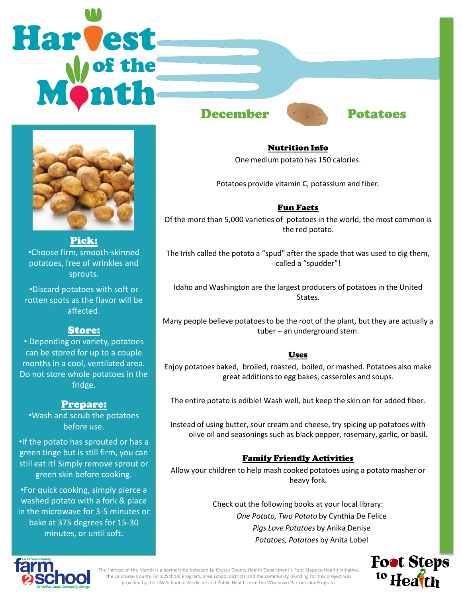## Harvest December **Potatoes**



Pick: •Choose firm, smooth-skinned potatoes, free of wrinkles and sprouts.

•Discard potatoes with soft or rotten spots as the flavor will be affected.

### Store:

• Depending on variety, potatoes can be stored for up to a couple months in a cool, ventilated area. Do not store whole potatoes in the fridge.

### Prepare:

•Wash and scrub the potatoes before use.

•If the potato has sprouted or has a green tinge but is still firm, you can still eat it! Simply remove sprout or green skin before cooking.

•For quick cooking, simply pierce a washed potato with a fork & place in the microwave for 3-5 minutes or bake at 375 degrees for 15-30 minutes, or until soft.



Nutrition Info One medium potato has 150 calories.

Potatoes provide vitamin C, potassium and fiber.

### Fun Facts

Of the more than 5,000 varieties of potatoes in the world, the most common is the red potato.

The Irish called the potato a "spud" after the spade that was used to dig them, called a "spudder"!

Idaho and Washington are the largest producers of potatoes in the United States.

Many people believe potatoes to be the root of the plant, but they are actually a tuber – an underground stem.

### Uses

Enjoy potatoes baked, broiled, roasted, boiled, or mashed. Potatoes also make great additions to egg bakes, casseroles and soups.

The entire potato is edible! Wash well, but keep the skin on for added fiber.

Instead of using butter, sour cream and cheese, try spicing up potatoes with olive oil and seasonings such as black pepper, rosemary, garlic, or basil.

### Family Friendly Activities

Allow your children to help mash cooked potatoes using a potato masher or heavy fork.

> Check out the following books at your local library: *One Potato, Two Potato* by Cynthia De Felice *Pigs Love Potatoes* by Anika Denise *Potatoes, Potatoes* by Anita Lobel





The Harvest of the Month is a partnership between La Crosse County Health Department's Foot Steps to Health initiative, the La Crosse County Farm2School Program, area school districts and the community. Funding for this project was provided by the UW School of Medicine and Public Health from the Wisconsin Partnership Program.